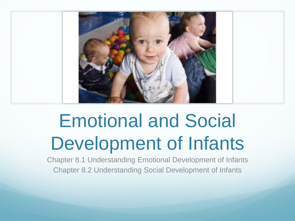

#### Emotional and Social Development of Infants

Chapter 8.1 Understanding Emotional Development of Infants Chapter 8.2 Understanding Social Development of Infants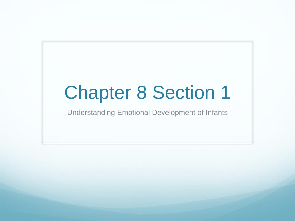#### Chapter 8 Section 1

Understanding Emotional Development of Infants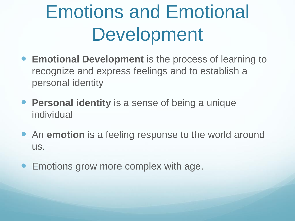## Emotions and Emotional Development

- **Emotional Development** is the process of learning to recognize and express feelings and to establish a personal identity
- **Personal identity** is a sense of being a unique individual
- An **emotion** is a feeling response to the world around us.
- Emotions grow more complex with age.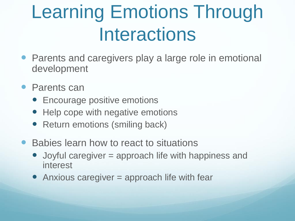#### Learning Emotions Through **Interactions**

- Parents and caregivers play a large role in emotional development
- Parents can
	- Encourage positive emotions
	- Help cope with negative emotions
	- Return emotions (smiling back)
- Babies learn how to react to situations
	- Joyful caregiver = approach life with happiness and interest
	- Anxious caregiver = approach life with fear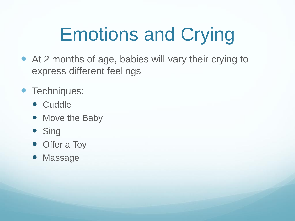# Emotions and Crying

- At 2 months of age, babies will vary their crying to express different feelings
- Techniques:
	- Cuddle
	- Move the Baby
	- **Sing**
	- Offer a Toy
	- Massage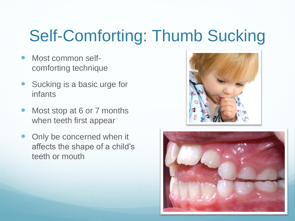#### Self-Comforting: Thumb Sucking

- Most common selfcomforting technique
- Sucking is a basic urge for infants
- Most stop at 6 or 7 months when teeth first appear
- Only be concerned when it affects the shape of a child's teeth or mouth



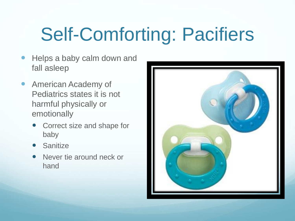## Self-Comforting: Pacifiers

- Helps a baby calm down and fall asleep
- **American Academy of** Pediatrics states it is not harmful physically or emotionally
	- Correct size and shape for baby
	- **Sanitize**
	- Never tie around neck or hand

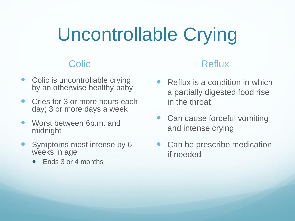#### Uncontrollable Crying

#### **Colic**

- Colic is uncontrollable crying by an otherwise healthy baby
- Cries for 3 or more hours each day; 3 or more days a week
- Worst between 6p.m. and midnight
- Symptoms most intense by 6 weeks in age
	- Ends 3 or 4 months

#### **Reflux**

- Reflux is a condition in which a partially digested food rise in the throat
- Can cause forceful vomiting and intense crying
- Can be prescribe medication if needed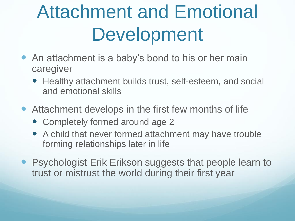## Attachment and Emotional Development

- An attachment is a baby's bond to his or her main caregiver
	- Healthy attachment builds trust, self-esteem, and social and emotional skills
- Attachment develops in the first few months of life
	- Completely formed around age 2
	- A child that never formed attachment may have trouble forming relationships later in life
- **Psychologist Erik Erikson suggests that people learn to** trust or mistrust the world during their first year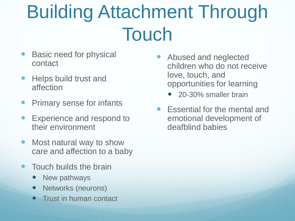## Building Attachment Through Touch

- Basic need for physical contact
- Helps build trust and affection
- Primary sense for infants
- Experience and respond to their environment
- Most natural way to show care and affection to a baby
- Touch builds the brain
	- New pathways
	- Networks (neurons)
	- Trust in human contact
- Abused and neglected children who do not receive love, touch, and opportunities for learning
	- 20-30% smaller brain
- Essential for the mental and emotional development of deafblind babies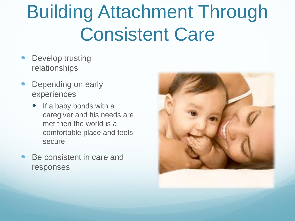## Building Attachment Through Consistent Care

- Develop trusting relationships
- Depending on early experiences
	- If a baby bonds with a caregiver and his needs are met then the world is a comfortable place and feels secure
- Be consistent in care and responses

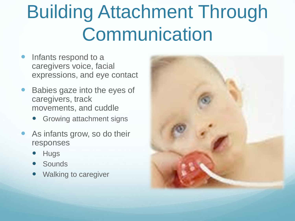## Building Attachment Through **Communication**

- Infants respond to a caregivers voice, facial expressions, and eye contact
- Babies gaze into the eyes of caregivers, track movements, and cuddle
	- Growing attachment signs
- As infants grow, so do their responses
	- **Hugs**
	- **Sounds**
	- Walking to caregiver

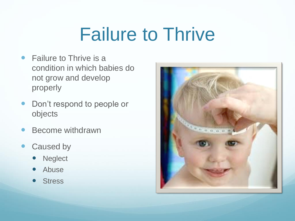#### Failure to Thrive

- Failure to Thrive is a condition in which babies do not grow and develop properly
- Don't respond to people or objects
- Become withdrawn
- Caused by
	- **Neglect**
	- Abuse
	- **Stress**

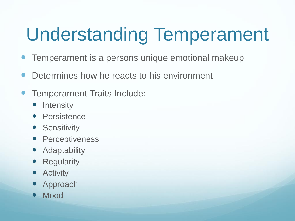# Understanding Temperament

- Temperament is a persons unique emotional makeup
- Determines how he reacts to his environment
- Temperament Traits Include:
	- **Intensity**
	- **•** Persistence
	- **•** Sensitivity
	- **•** Perceptiveness
	- **•** Adaptability
	- **Regularity**
	- **Activity**
	- Approach
	- Mood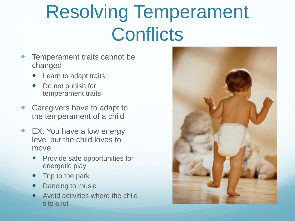## Resolving Temperament **Conflicts**

- Temperament traits cannot be changed
	- Learn to adapt traits
	- Do not punish for temperament traits
- Caregivers have to adapt to the temperament of a child
- EX: You have a low energy level but the child loves to move
	- Provide safe opportunities for energetic play
	- **Trip to the park**
	- Dancing to music
	- Avoid activities where the child sits a lot

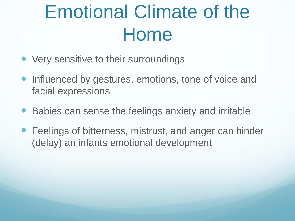## Emotional Climate of the Home

- Very sensitive to their surroundings
- Influenced by gestures, emotions, tone of voice and facial expressions
- Babies can sense the feelings anxiety and irritable
- Feelings of bitterness, mistrust, and anger can hinder (delay) an infants emotional development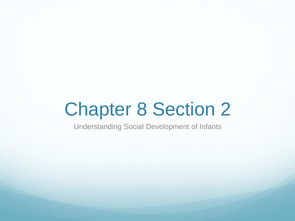#### Chapter 8 Section 2

Understanding Social Development of Infants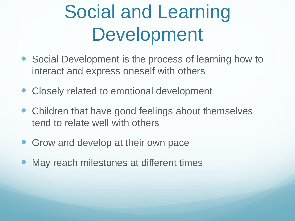## Social and Learning Development

- Social Development is the process of learning how to interact and express oneself with others
- Closely related to emotional development
- Children that have good feelings about themselves tend to relate well with others
- Grow and develop at their own pace
- May reach milestones at different times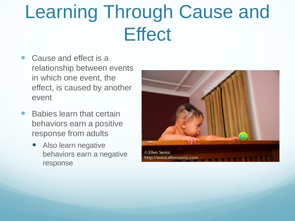### Learning Through Cause and **Effect**

- Cause and effect is a relationship between events in which one event, the effect, is caused by another event
- Babies learn that certain behaviors earn a positive response from adults
	- Also learn negative behaviors earn a negative response

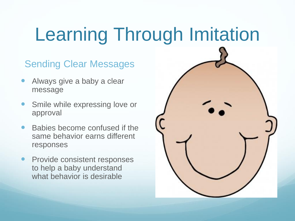## Learning Through Imitation

#### Sending Clear Messages

- Always give a baby a clear message
- Smile while expressing love or approval
- Babies become confused if the same behavior earns different responses
- Provide consistent responses to help a baby understand what behavior is desirable

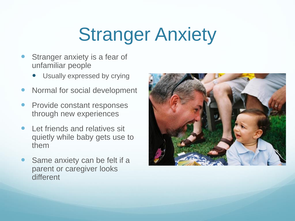## Stranger Anxiety

- Stranger anxiety is a fear of unfamiliar people
	- Usually expressed by crying
- Normal for social development
- Provide constant responses through new experiences
- Let friends and relatives sit quietly while baby gets use to them
- Same anxiety can be felt if a parent or caregiver looks different

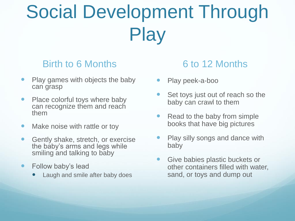# Social Development Through **Play**

#### Birth to 6 Months

- Play games with objects the baby can grasp
- Place colorful toys where baby can recognize them and reach them
- Make noise with rattle or toy
- Gently shake, stretch, or exercise the baby's arms and legs while smiling and talking to baby
- Follow baby's lead
	- Laugh and smile after baby does

#### 6 to 12 Months

- Play peek-a-boo
- Set toys just out of reach so the baby can crawl to them
- Read to the baby from simple books that have big pictures
- Play silly songs and dance with baby
- **Give babies plastic buckets or** other containers filled with water, sand, or toys and dump out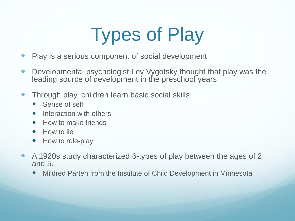# Types of Play

- Play is a serious component of social development
- Developmental psychologist Lev Vygotsky thought that play was the leading source of development in the preschool years
- Through play, children learn basic social skills
	- Sense of self
	- Interaction with others
	- How to make friends
	- How to lie
	- How to role-play
- A 1920s study characterized 6-types of play between the ages of 2 and 5.
	- Mildred Parten from the Institute of Child Development in Minnesota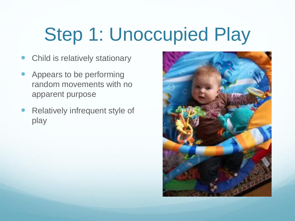# Step 1: Unoccupied Play

- Child is relatively stationary
- Appears to be performing random movements with no apparent purpose
- Relatively infrequent style of play

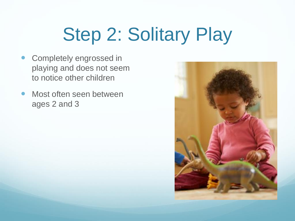# Step 2: Solitary Play

- **Completely engrossed in** playing and does not seem to notice other children
- Most often seen between ages 2 and 3

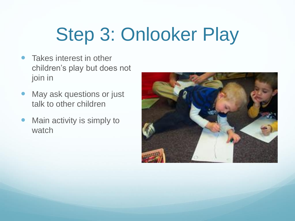# Step 3: Onlooker Play

- Takes interest in other children's play but does not join in
- May ask questions or just talk to other children
- Main activity is simply to watch

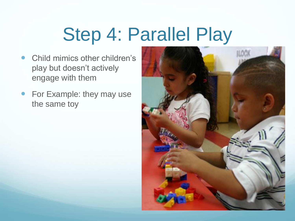## Step 4: Parallel Play

- Child mimics other children's play but doesn't actively engage with them
- For Example: they may use the same toy

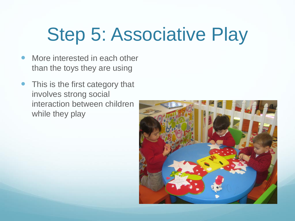## Step 5: Associative Play

- More interested in each other than the toys they are using
- This is the first category that involves strong social interaction between children while they play

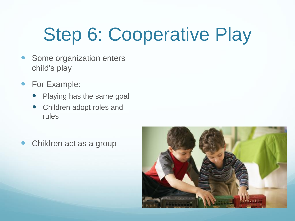# Step 6: Cooperative Play

- Some organization enters child's play
- For Example:
	- Playing has the same goal
	- Children adopt roles and rules
- Children act as a group

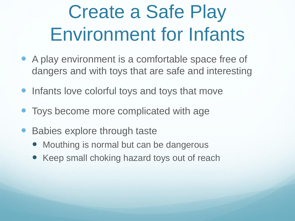## Create a Safe Play Environment for Infants

- A play environment is a comfortable space free of dangers and with toys that are safe and interesting
- Infants love colorful toys and toys that move
- Toys become more complicated with age
- Babies explore through taste
	- Mouthing is normal but can be dangerous
	- Keep small choking hazard toys out of reach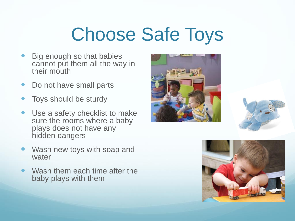## Choose Safe Toys

- Big enough so that babies cannot put them all the way in their mouth
- Do not have small parts
- Toys should be sturdy
- Use a safety checklist to make sure the rooms where a baby plays does not have any hidden dangers
- Wash new toys with soap and water
- Wash them each time after the baby plays with them